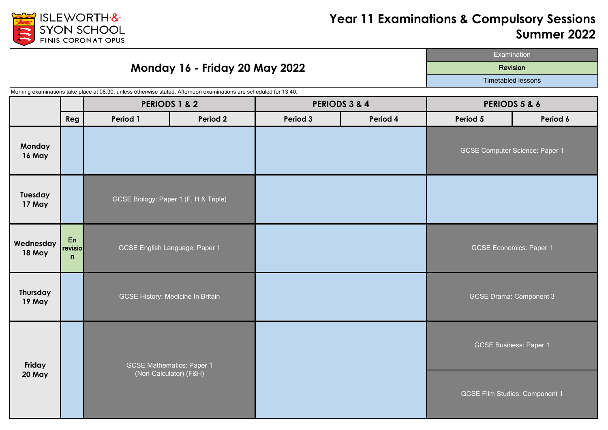

#### **Monday 16 - Friday 20 May 2022**

Examination Revision

Timetabled lessons

**Reg Period 1 Period 2 Period 3 Period 4 Period 5 Period 6 Monday 16 May Tuesday 17 May Wednesday 18 May** En revisio n **Thursday 19 May** GCSE Economics: Paper 1 GCSE Drama: Component 3 GCSE Business: Paper 1 GCSE Film Studies: Component 1 **PERIODS 3 & 4 Friday 20 May** GCSE English Language: Paper 1 GCSE History: Medicine In Britain GCSE Mathematics: Paper 1 (Non-Calculator) (F&H) GCSE Computer Science: Paper 1 GCSE Biology: Paper 1 (F, H & Triple) **PERIODS 5 & 6** Morning examinations take place at 08:30, unless otherwise stated. Afternoon examinations are scheduled for 13:40. **PERIODS 1 & 2**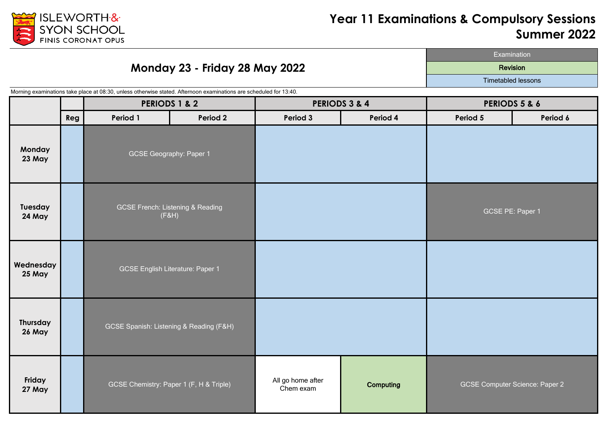

### **Monday 23 - Friday 28 May 2022**

Examination Revision

Timetabled lessons

Morning examinations take place at 08:30, unless otherwise stated. Afternoon examinations are scheduled for 13:40.

|                     |     | <b>PERIODS 1 &amp; 2</b>                             |          | PERIODS 3 & 4                  |           | PERIODS 5 & 6    |                                       |
|---------------------|-----|------------------------------------------------------|----------|--------------------------------|-----------|------------------|---------------------------------------|
|                     | Reg | Period 1                                             | Period 2 | Period 3                       | Period 4  | Period 5         | Period 6                              |
| Monday<br>23 May    |     | <b>GCSE Geography: Paper 1</b>                       |          |                                |           |                  |                                       |
| Tuesday<br>24 May   |     | <b>GCSE French: Listening &amp; Reading</b><br>(F&H) |          |                                |           | GCSE PE: Paper 1 |                                       |
| Wednesday<br>25 May |     | <b>GCSE English Literature: Paper 1</b>              |          |                                |           |                  |                                       |
| Thursday<br>26 May  |     | GCSE Spanish: Listening & Reading (F&H)              |          |                                |           |                  |                                       |
| Friday<br>27 May    |     | GCSE Chemistry: Paper 1 (F, H & Triple)              |          | All go home after<br>Chem exam | Computing |                  | <b>GCSE Computer Science: Paper 2</b> |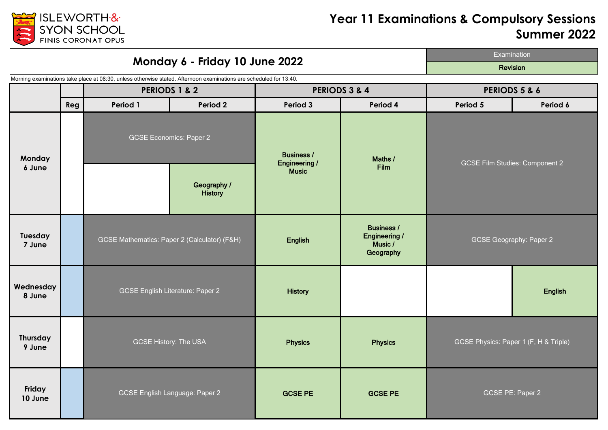

**Reg Period 1 Period 2 Period 3 Period 4 Period 5 Period 6** Geography / **History Tuesday 7 June English**<br>**7 June English** Business / Engineering / Music / **Geography Wednesday 8 June All Structure English Literature: Paper 2 History Product Product Product Product Product Product Product Product Product Product Product Product Product Product Product Product Product Product Product Product Thursday 9 June** Physics **Physics Physics Physics Physics Physics Physics Physics Friday 11 June COSE English Language: Paper 2 GCSE PE GCSE PE GCSE PE GCSE PE** Examination **Monday 6 - Friday 10 June 2022** Revision **Monday 6 June** Maths / Film Business / Engineering / Music GCSE Film Studies: Component 2 **PERIODS 1 & 2 PERIODS 5 & 6 PERIODS 3 & 4** Morning examinations take place at 08:30, unless otherwise stated. Afternoon examinations are scheduled for 13:40. GCSE Economics: Paper 2 GCSE English Literature: Paper 2 GCSE History: The USA GCSE PE: Paper 2 GCSE Physics: Paper 1 (F, H & Triple) GCSE Geography: Paper 2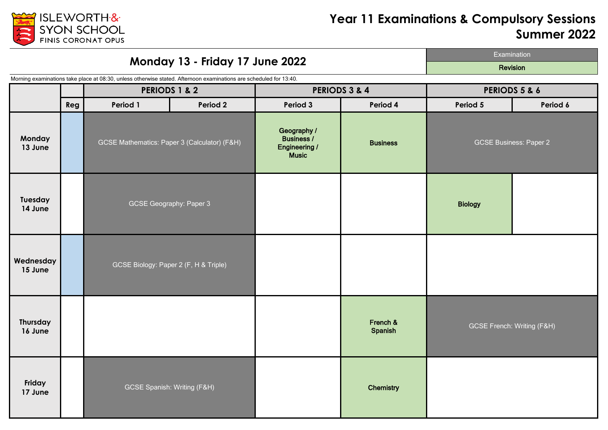

| Monday 13 - Friday 17 June 2022 |     |                                                                                                                                                |                 |                                                                          |                     | Examination                           |          |
|---------------------------------|-----|------------------------------------------------------------------------------------------------------------------------------------------------|-----------------|--------------------------------------------------------------------------|---------------------|---------------------------------------|----------|
|                                 |     |                                                                                                                                                | <b>Revision</b> |                                                                          |                     |                                       |          |
|                                 |     | Morning examinations take place at 08:30, unless otherwise stated. Afternoon examinations are scheduled for 13:40.<br><b>PERIODS 1 &amp; 2</b> |                 | PERIODS 3 & 4                                                            |                     | PERIODS 5 & 6                         |          |
|                                 | Reg | Period 1<br>Period 2                                                                                                                           |                 | Period 3<br>Period 4                                                     |                     | Period 5                              | Period 6 |
| Monday<br>13 June               |     | GCSE Mathematics: Paper 3 (Calculator) (F&H)                                                                                                   |                 | Geography /<br><b>Business /</b><br><b>Engineering /</b><br><b>Music</b> | <b>Business</b>     | <b>GCSE Business: Paper 2</b>         |          |
| Tuesday<br>14 June              |     | <b>GCSE Geography: Paper 3</b>                                                                                                                 |                 |                                                                          |                     | <b>Biology</b>                        |          |
| Wednesday<br>15 June            |     | GCSE Biology: Paper 2 (F, H & Triple)                                                                                                          |                 |                                                                          |                     |                                       |          |
| Thursday<br>16 June             |     |                                                                                                                                                |                 |                                                                          | French &<br>Spanish | <b>GCSE French: Writing (F&amp;H)</b> |          |
| Friday<br>17 June               |     | <b>GCSE Spanish: Writing (F&amp;H)</b>                                                                                                         |                 |                                                                          | Chemistry           |                                       |          |